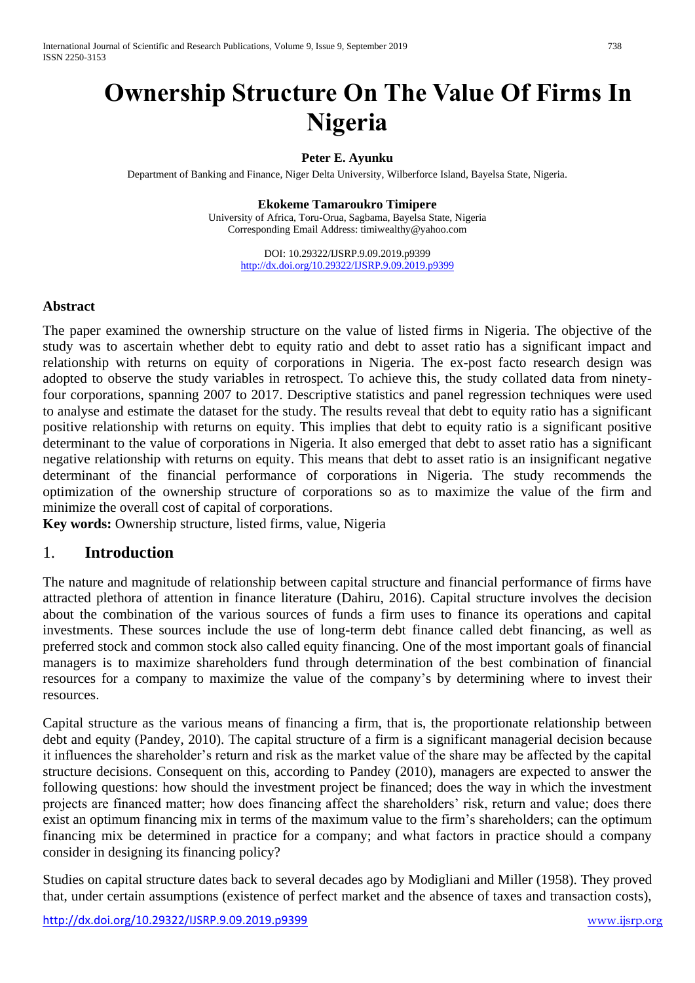# **Ownership Structure On The Value Of Firms In Nigeria**

#### **Peter E. Ayunku**

Department of Banking and Finance, Niger Delta University, Wilberforce Island, Bayelsa State, Nigeria.

**Ekokeme Tamaroukro Timipere** University of Africa, Toru-Orua, Sagbama, Bayelsa State, Nigeria Corresponding Email Address: timiwealthy@yahoo.com

> DOI: 10.29322/IJSRP.9.09.2019.p9399 <http://dx.doi.org/10.29322/IJSRP.9.09.2019.p9399>

#### **Abstract**

The paper examined the ownership structure on the value of listed firms in Nigeria. The objective of the study was to ascertain whether debt to equity ratio and debt to asset ratio has a significant impact and relationship with returns on equity of corporations in Nigeria. The ex-post facto research design was adopted to observe the study variables in retrospect. To achieve this, the study collated data from ninetyfour corporations, spanning 2007 to 2017. Descriptive statistics and panel regression techniques were used to analyse and estimate the dataset for the study. The results reveal that debt to equity ratio has a significant positive relationship with returns on equity. This implies that debt to equity ratio is a significant positive determinant to the value of corporations in Nigeria. It also emerged that debt to asset ratio has a significant negative relationship with returns on equity. This means that debt to asset ratio is an insignificant negative determinant of the financial performance of corporations in Nigeria. The study recommends the optimization of the ownership structure of corporations so as to maximize the value of the firm and minimize the overall cost of capital of corporations.

**Key words:** Ownership structure, listed firms, value, Nigeria

#### 1. **Introduction**

The nature and magnitude of relationship between capital structure and financial performance of firms have attracted plethora of attention in finance literature (Dahiru, 2016). Capital structure involves the decision about the combination of the various sources of funds a firm uses to finance its operations and capital investments. These sources include the use of long-term debt finance called debt financing, as well as preferred stock and common stock also called equity financing. One of the most important goals of financial managers is to maximize shareholders fund through determination of the best combination of financial resources for a company to maximize the value of the company's by determining where to invest their resources.

Capital structure as the various means of financing a firm, that is, the proportionate relationship between debt and equity (Pandey, 2010). The capital structure of a firm is a significant managerial decision because it influences the shareholder's return and risk as the market value of the share may be affected by the capital structure decisions. Consequent on this, according to Pandey (2010), managers are expected to answer the following questions: how should the investment project be financed; does the way in which the investment projects are financed matter; how does financing affect the shareholders' risk, return and value; does there exist an optimum financing mix in terms of the maximum value to the firm's shareholders; can the optimum financing mix be determined in practice for a company; and what factors in practice should a company consider in designing its financing policy?

Studies on capital structure dates back to several decades ago by Modigliani and Miller (1958). They proved that, under certain assumptions (existence of perfect market and the absence of taxes and transaction costs),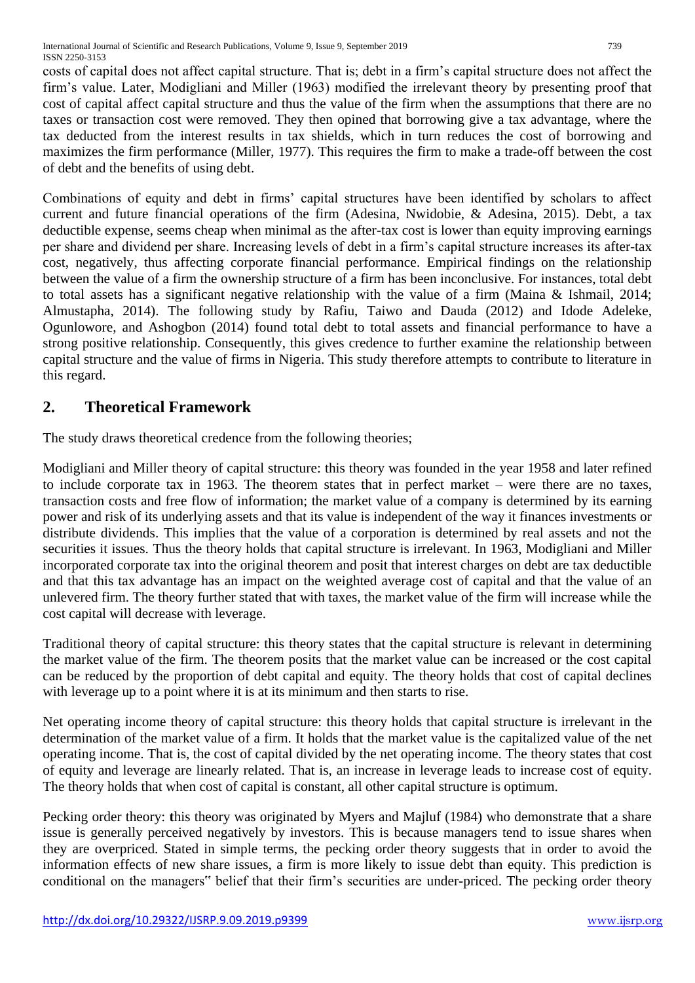costs of capital does not affect capital structure. That is; debt in a firm's capital structure does not affect the firm's value. Later, Modigliani and Miller (1963) modified the irrelevant theory by presenting proof that cost of capital affect capital structure and thus the value of the firm when the assumptions that there are no taxes or transaction cost were removed. They then opined that borrowing give a tax advantage, where the tax deducted from the interest results in tax shields, which in turn reduces the cost of borrowing and maximizes the firm performance (Miller, 1977). This requires the firm to make a trade-off between the cost of debt and the benefits of using debt.

Combinations of equity and debt in firms' capital structures have been identified by scholars to affect current and future financial operations of the firm (Adesina, Nwidobie, & Adesina, 2015). Debt, a tax deductible expense, seems cheap when minimal as the after-tax cost is lower than equity improving earnings per share and dividend per share. Increasing levels of debt in a firm's capital structure increases its after-tax cost, negatively, thus affecting corporate financial performance. Empirical findings on the relationship between the value of a firm the ownership structure of a firm has been inconclusive. For instances, total debt to total assets has a significant negative relationship with the value of a firm (Maina & Ishmail, 2014; Almustapha, 2014). The following study by Rafiu, Taiwo and Dauda (2012) and Idode Adeleke, Ogunlowore, and Ashogbon (2014) found total debt to total assets and financial performance to have a strong positive relationship. Consequently, this gives credence to further examine the relationship between capital structure and the value of firms in Nigeria. This study therefore attempts to contribute to literature in this regard.

## **2. Theoretical Framework**

The study draws theoretical credence from the following theories;

Modigliani and Miller theory of capital structure: this theory was founded in the year 1958 and later refined to include corporate tax in 1963. The theorem states that in perfect market – were there are no taxes, transaction costs and free flow of information; the market value of a company is determined by its earning power and risk of its underlying assets and that its value is independent of the way it finances investments or distribute dividends. This implies that the value of a corporation is determined by real assets and not the securities it issues. Thus the theory holds that capital structure is irrelevant. In 1963, Modigliani and Miller incorporated corporate tax into the original theorem and posit that interest charges on debt are tax deductible and that this tax advantage has an impact on the weighted average cost of capital and that the value of an unlevered firm. The theory further stated that with taxes, the market value of the firm will increase while the cost capital will decrease with leverage.

Traditional theory of capital structure: this theory states that the capital structure is relevant in determining the market value of the firm. The theorem posits that the market value can be increased or the cost capital can be reduced by the proportion of debt capital and equity. The theory holds that cost of capital declines with leverage up to a point where it is at its minimum and then starts to rise.

Net operating income theory of capital structure: this theory holds that capital structure is irrelevant in the determination of the market value of a firm. It holds that the market value is the capitalized value of the net operating income. That is, the cost of capital divided by the net operating income. The theory states that cost of equity and leverage are linearly related. That is, an increase in leverage leads to increase cost of equity. The theory holds that when cost of capital is constant, all other capital structure is optimum.

Pecking order theory: this theory was originated by Myers and Majluf (1984) who demonstrate that a share issue is generally perceived negatively by investors. This is because managers tend to issue shares when they are overpriced. Stated in simple terms, the pecking order theory suggests that in order to avoid the information effects of new share issues, a firm is more likely to issue debt than equity. This prediction is conditional on the managers" belief that their firm's securities are under-priced. The pecking order theory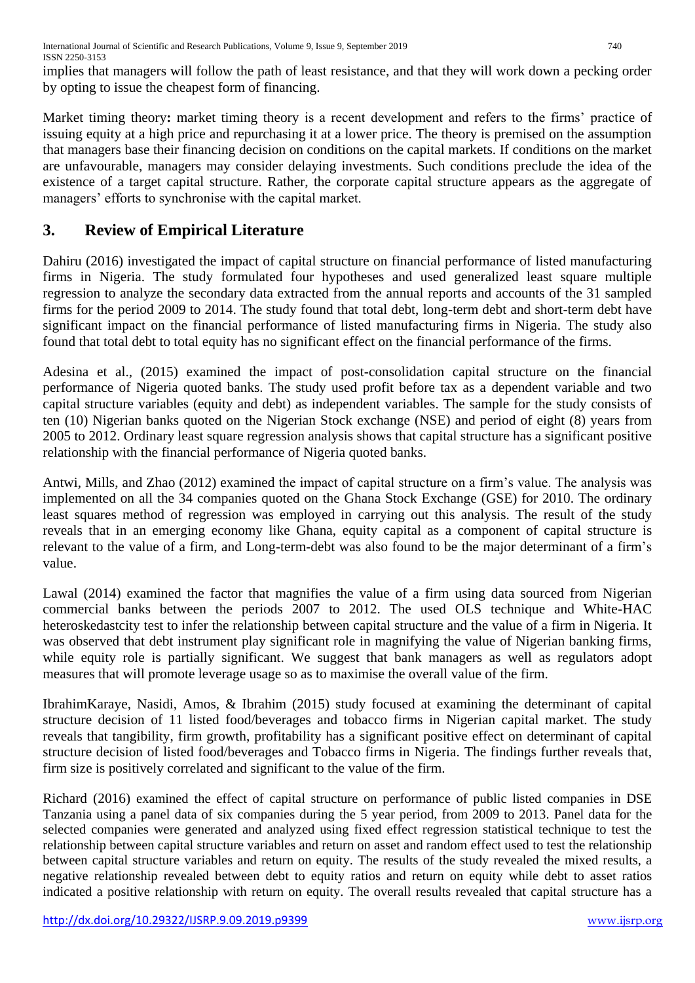implies that managers will follow the path of least resistance, and that they will work down a pecking order by opting to issue the cheapest form of financing.

Market timing theory**:** market timing theory is a recent development and refers to the firms' practice of issuing equity at a high price and repurchasing it at a lower price. The theory is premised on the assumption that managers base their financing decision on conditions on the capital markets. If conditions on the market are unfavourable, managers may consider delaying investments. Such conditions preclude the idea of the existence of a target capital structure. Rather, the corporate capital structure appears as the aggregate of managers' efforts to synchronise with the capital market.

## **3. Review of Empirical Literature**

Dahiru (2016) investigated the impact of capital structure on financial performance of listed manufacturing firms in Nigeria. The study formulated four hypotheses and used generalized least square multiple regression to analyze the secondary data extracted from the annual reports and accounts of the 31 sampled firms for the period 2009 to 2014. The study found that total debt, long-term debt and short-term debt have significant impact on the financial performance of listed manufacturing firms in Nigeria. The study also found that total debt to total equity has no significant effect on the financial performance of the firms.

Adesina et al., (2015) examined the impact of post-consolidation capital structure on the financial performance of Nigeria quoted banks. The study used profit before tax as a dependent variable and two capital structure variables (equity and debt) as independent variables. The sample for the study consists of ten (10) Nigerian banks quoted on the Nigerian Stock exchange (NSE) and period of eight (8) years from 2005 to 2012. Ordinary least square regression analysis shows that capital structure has a significant positive relationship with the financial performance of Nigeria quoted banks.

Antwi, Mills, and Zhao (2012) examined the impact of capital structure on a firm's value. The analysis was implemented on all the 34 companies quoted on the Ghana Stock Exchange (GSE) for 2010. The ordinary least squares method of regression was employed in carrying out this analysis. The result of the study reveals that in an emerging economy like Ghana, equity capital as a component of capital structure is relevant to the value of a firm, and Long-term-debt was also found to be the major determinant of a firm's value.

Lawal (2014) examined the factor that magnifies the value of a firm using data sourced from Nigerian commercial banks between the periods 2007 to 2012. The used OLS technique and White-HAC heteroskedastcity test to infer the relationship between capital structure and the value of a firm in Nigeria. It was observed that debt instrument play significant role in magnifying the value of Nigerian banking firms, while equity role is partially significant. We suggest that bank managers as well as regulators adopt measures that will promote leverage usage so as to maximise the overall value of the firm.

IbrahimKaraye, Nasidi, Amos, & Ibrahim (2015) study focused at examining the determinant of capital structure decision of 11 listed food/beverages and tobacco firms in Nigerian capital market. The study reveals that tangibility, firm growth, profitability has a significant positive effect on determinant of capital structure decision of listed food/beverages and Tobacco firms in Nigeria. The findings further reveals that, firm size is positively correlated and significant to the value of the firm.

Richard (2016) examined the effect of capital structure on performance of public listed companies in DSE Tanzania using a panel data of six companies during the 5 year period, from 2009 to 2013. Panel data for the selected companies were generated and analyzed using fixed effect regression statistical technique to test the relationship between capital structure variables and return on asset and random effect used to test the relationship between capital structure variables and return on equity. The results of the study revealed the mixed results, a negative relationship revealed between debt to equity ratios and return on equity while debt to asset ratios indicated a positive relationship with return on equity. The overall results revealed that capital structure has a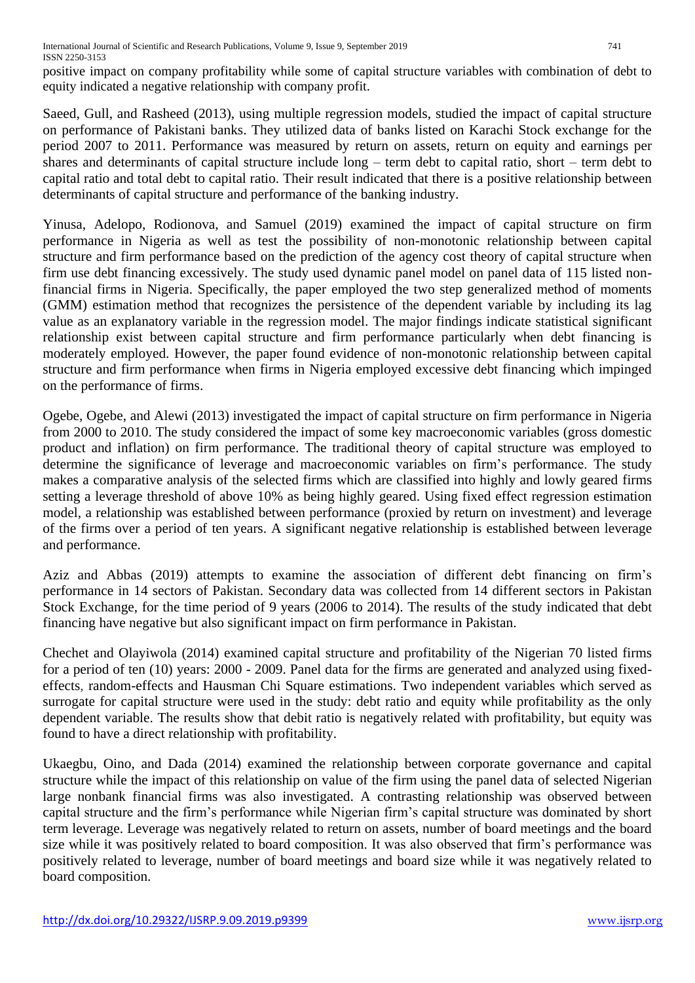positive impact on company profitability while some of capital structure variables with combination of debt to equity indicated a negative relationship with company profit.

Saeed, Gull, and Rasheed (2013), using multiple regression models, studied the impact of capital structure on performance of Pakistani banks. They utilized data of banks listed on Karachi Stock exchange for the period 2007 to 2011. Performance was measured by return on assets, return on equity and earnings per shares and determinants of capital structure include long – term debt to capital ratio, short – term debt to capital ratio and total debt to capital ratio. Their result indicated that there is a positive relationship between determinants of capital structure and performance of the banking industry.

Yinusa, Adelopo, Rodionova, and Samuel (2019) examined the impact of capital structure on firm performance in Nigeria as well as test the possibility of non-monotonic relationship between capital structure and firm performance based on the prediction of the agency cost theory of capital structure when firm use debt financing excessively. The study used dynamic panel model on panel data of 115 listed nonfinancial firms in Nigeria. Specifically, the paper employed the two step generalized method of moments (GMM) estimation method that recognizes the persistence of the dependent variable by including its lag value as an explanatory variable in the regression model. The major findings indicate statistical significant relationship exist between capital structure and firm performance particularly when debt financing is moderately employed. However, the paper found evidence of non-monotonic relationship between capital structure and firm performance when firms in Nigeria employed excessive debt financing which impinged on the performance of firms.

Ogebe, Ogebe, and Alewi (2013) investigated the impact of capital structure on firm performance in Nigeria from 2000 to 2010. The study considered the impact of some key macroeconomic variables (gross domestic product and inflation) on firm performance. The traditional theory of capital structure was employed to determine the significance of leverage and macroeconomic variables on firm's performance. The study makes a comparative analysis of the selected firms which are classified into highly and lowly geared firms setting a leverage threshold of above 10% as being highly geared. Using fixed effect regression estimation model, a relationship was established between performance (proxied by return on investment) and leverage of the firms over a period of ten years. A significant negative relationship is established between leverage and performance.

Aziz and Abbas (2019) attempts to examine the association of different debt financing on firm's performance in 14 sectors of Pakistan. Secondary data was collected from 14 different sectors in Pakistan Stock Exchange, for the time period of 9 years (2006 to 2014). The results of the study indicated that debt financing have negative but also significant impact on firm performance in Pakistan.

Chechet and Olayiwola (2014) examined capital structure and profitability of the Nigerian 70 listed firms for a period of ten (10) years: 2000 - 2009. Panel data for the firms are generated and analyzed using fixedeffects, random-effects and Hausman Chi Square estimations. Two independent variables which served as surrogate for capital structure were used in the study: debt ratio and equity while profitability as the only dependent variable. The results show that debit ratio is negatively related with profitability, but equity was found to have a direct relationship with profitability.

Ukaegbu, Oino, and Dada (2014) examined the relationship between corporate governance and capital structure while the impact of this relationship on value of the firm using the panel data of selected Nigerian large nonbank financial firms was also investigated. A contrasting relationship was observed between capital structure and the firm's performance while Nigerian firm's capital structure was dominated by short term leverage. Leverage was negatively related to return on assets, number of board meetings and the board size while it was positively related to board composition. It was also observed that firm's performance was positively related to leverage, number of board meetings and board size while it was negatively related to board composition.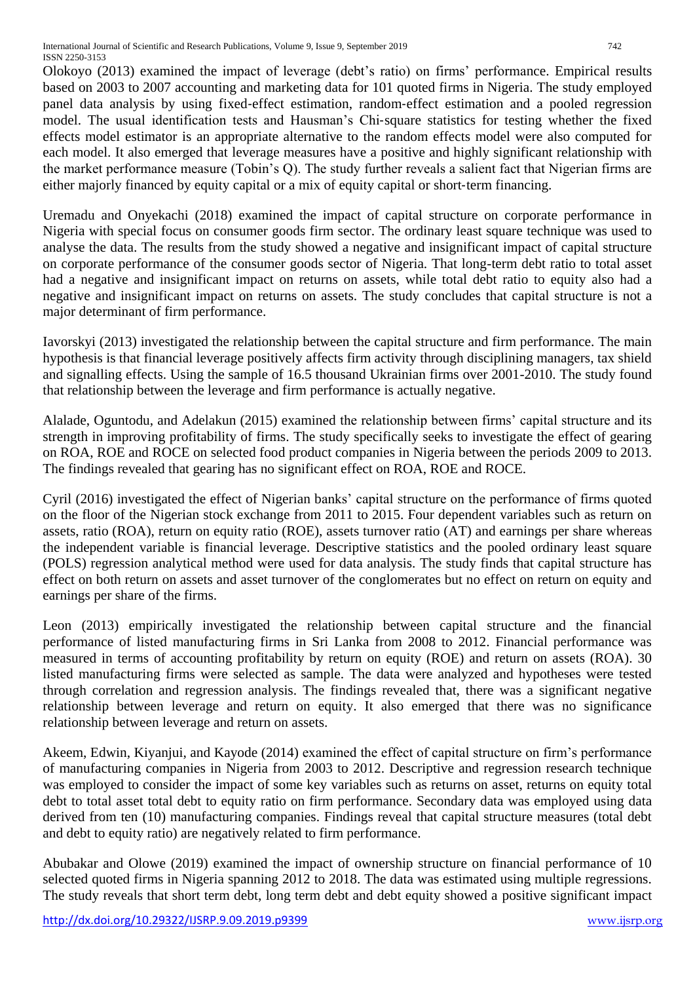Olokoyo (2013) examined the impact of leverage (debt's ratio) on firms' performance. Empirical results based on 2003 to 2007 accounting and marketing data for 101 quoted firms in Nigeria. The study employed panel data analysis by using fixed-effect estimation, random-effect estimation and a pooled regression model. The usual identification tests and Hausman's Chi‐square statistics for testing whether the fixed effects model estimator is an appropriate alternative to the random effects model were also computed for each model. It also emerged that leverage measures have a positive and highly significant relationship with the market performance measure (Tobin's Q). The study further reveals a salient fact that Nigerian firms are either majorly financed by equity capital or a mix of equity capital or short-term financing.

Uremadu and Onyekachi (2018) examined the impact of capital structure on corporate performance in Nigeria with special focus on consumer goods firm sector. The ordinary least square technique was used to analyse the data. The results from the study showed a negative and insignificant impact of capital structure on corporate performance of the consumer goods sector of Nigeria. That long-term debt ratio to total asset had a negative and insignificant impact on returns on assets, while total debt ratio to equity also had a negative and insignificant impact on returns on assets. The study concludes that capital structure is not a major determinant of firm performance.

Iavorskyi (2013) investigated the relationship between the capital structure and firm performance. The main hypothesis is that financial leverage positively affects firm activity through disciplining managers, tax shield and signalling effects. Using the sample of 16.5 thousand Ukrainian firms over 2001-2010. The study found that relationship between the leverage and firm performance is actually negative.

Alalade, Oguntodu, and Adelakun (2015) examined the relationship between firms' capital structure and its strength in improving profitability of firms. The study specifically seeks to investigate the effect of gearing on ROA, ROE and ROCE on selected food product companies in Nigeria between the periods 2009 to 2013. The findings revealed that gearing has no significant effect on ROA, ROE and ROCE.

Cyril (2016) investigated the effect of Nigerian banks' capital structure on the performance of firms quoted on the floor of the Nigerian stock exchange from 2011 to 2015. Four dependent variables such as return on assets, ratio (ROA), return on equity ratio (ROE), assets turnover ratio (AT) and earnings per share whereas the independent variable is financial leverage. Descriptive statistics and the pooled ordinary least square (POLS) regression analytical method were used for data analysis. The study finds that capital structure has effect on both return on assets and asset turnover of the conglomerates but no effect on return on equity and earnings per share of the firms.

Leon (2013) empirically investigated the relationship between capital structure and the financial performance of listed manufacturing firms in Sri Lanka from 2008 to 2012. Financial performance was measured in terms of accounting profitability by return on equity (ROE) and return on assets (ROA). 30 listed manufacturing firms were selected as sample. The data were analyzed and hypotheses were tested through correlation and regression analysis. The findings revealed that, there was a significant negative relationship between leverage and return on equity. It also emerged that there was no significance relationship between leverage and return on assets.

Akeem, Edwin, Kiyanjui, and Kayode (2014) examined the effect of capital structure on firm's performance of manufacturing companies in Nigeria from 2003 to 2012. Descriptive and regression research technique was employed to consider the impact of some key variables such as returns on asset, returns on equity total debt to total asset total debt to equity ratio on firm performance. Secondary data was employed using data derived from ten (10) manufacturing companies. Findings reveal that capital structure measures (total debt and debt to equity ratio) are negatively related to firm performance.

Abubakar and Olowe (2019) examined the impact of ownership structure on financial performance of 10 selected quoted firms in Nigeria spanning 2012 to 2018. The data was estimated using multiple regressions. The study reveals that short term debt, long term debt and debt equity showed a positive significant impact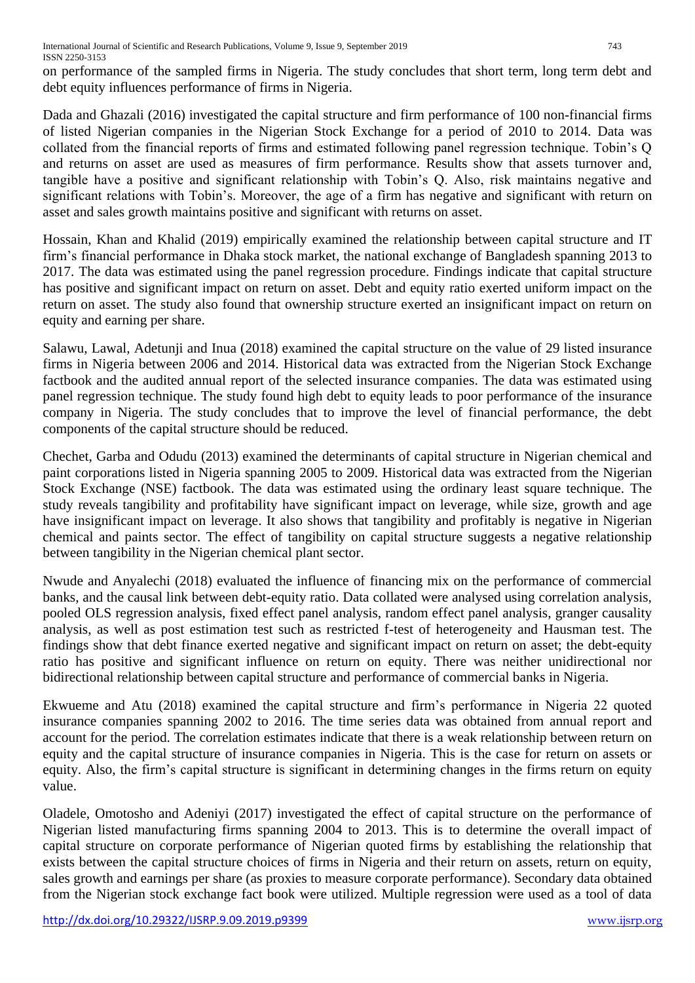on performance of the sampled firms in Nigeria. The study concludes that short term, long term debt and debt equity influences performance of firms in Nigeria.

Dada and Ghazali (2016) investigated the capital structure and firm performance of 100 non-financial firms of listed Nigerian companies in the Nigerian Stock Exchange for a period of 2010 to 2014. Data was collated from the financial reports of firms and estimated following panel regression technique. Tobin's Q and returns on asset are used as measures of firm performance. Results show that assets turnover and, tangible have a positive and significant relationship with Tobin's Q. Also, risk maintains negative and significant relations with Tobin's. Moreover, the age of a firm has negative and significant with return on asset and sales growth maintains positive and significant with returns on asset.

Hossain, Khan and Khalid (2019) empirically examined the relationship between capital structure and IT firm's financial performance in Dhaka stock market, the national exchange of Bangladesh spanning 2013 to 2017. The data was estimated using the panel regression procedure. Findings indicate that capital structure has positive and significant impact on return on asset. Debt and equity ratio exerted uniform impact on the return on asset. The study also found that ownership structure exerted an insignificant impact on return on equity and earning per share.

Salawu, Lawal, Adetunji and Inua (2018) examined the capital structure on the value of 29 listed insurance firms in Nigeria between 2006 and 2014. Historical data was extracted from the Nigerian Stock Exchange factbook and the audited annual report of the selected insurance companies. The data was estimated using panel regression technique. The study found high debt to equity leads to poor performance of the insurance company in Nigeria. The study concludes that to improve the level of financial performance, the debt components of the capital structure should be reduced.

Chechet, Garba and Odudu (2013) examined the determinants of capital structure in Nigerian chemical and paint corporations listed in Nigeria spanning 2005 to 2009. Historical data was extracted from the Nigerian Stock Exchange (NSE) factbook. The data was estimated using the ordinary least square technique. The study reveals tangibility and profitability have significant impact on leverage, while size, growth and age have insignificant impact on leverage. It also shows that tangibility and profitably is negative in Nigerian chemical and paints sector. The effect of tangibility on capital structure suggests a negative relationship between tangibility in the Nigerian chemical plant sector.

Nwude and Anyalechi (2018) evaluated the influence of financing mix on the performance of commercial banks, and the causal link between debt-equity ratio. Data collated were analysed using correlation analysis, pooled OLS regression analysis, fixed effect panel analysis, random effect panel analysis, granger causality analysis, as well as post estimation test such as restricted f-test of heterogeneity and Hausman test. The findings show that debt finance exerted negative and significant impact on return on asset; the debt-equity ratio has positive and significant influence on return on equity. There was neither unidirectional nor bidirectional relationship between capital structure and performance of commercial banks in Nigeria.

Ekwueme and Atu (2018) examined the capital structure and firm's performance in Nigeria 22 quoted insurance companies spanning 2002 to 2016. The time series data was obtained from annual report and account for the period. The correlation estimates indicate that there is a weak relationship between return on equity and the capital structure of insurance companies in Nigeria. This is the case for return on assets or equity. Also, the firm's capital structure is significant in determining changes in the firms return on equity value.

Oladele, Omotosho and Adeniyi (2017) investigated the effect of capital structure on the performance of Nigerian listed manufacturing firms spanning 2004 to 2013. This is to determine the overall impact of capital structure on corporate performance of Nigerian quoted firms by establishing the relationship that exists between the capital structure choices of firms in Nigeria and their return on assets, return on equity, sales growth and earnings per share (as proxies to measure corporate performance). Secondary data obtained from the Nigerian stock exchange fact book were utilized. Multiple regression were used as a tool of data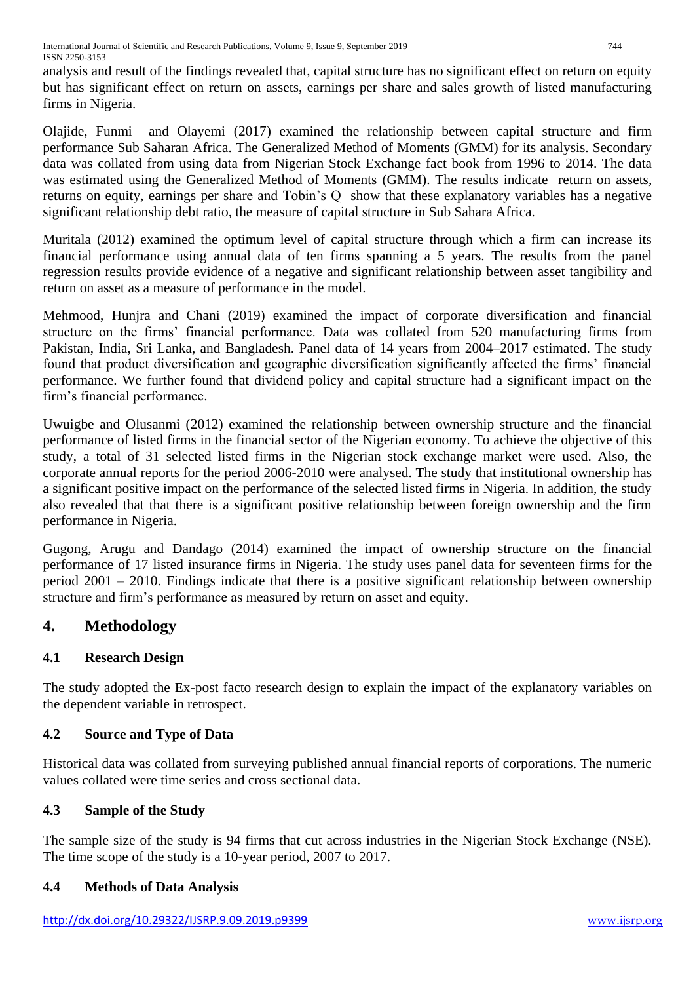analysis and result of the findings revealed that, capital structure has no significant effect on return on equity but has significant effect on return on assets, earnings per share and sales growth of listed manufacturing firms in Nigeria.

Olajide, Funmi and Olayemi (2017) examined the relationship between capital structure and firm performance Sub Saharan Africa. The Generalized Method of Moments (GMM) for its analysis. Secondary data was collated from using data from Nigerian Stock Exchange fact book from 1996 to 2014. The data was estimated using the Generalized Method of Moments (GMM). The results indicate return on assets, returns on equity, earnings per share and Tobin's Q show that these explanatory variables has a negative significant relationship debt ratio, the measure of capital structure in Sub Sahara Africa.

Muritala (2012) examined the optimum level of capital structure through which a firm can increase its financial performance using annual data of ten firms spanning a 5 years. The results from the panel regression results provide evidence of a negative and significant relationship between asset tangibility and return on asset as a measure of performance in the model.

Mehmood, Hunjra and Chani (2019) examined the impact of corporate diversification and financial structure on the firms' financial performance. Data was collated from 520 manufacturing firms from Pakistan, India, Sri Lanka, and Bangladesh. Panel data of 14 years from 2004–2017 estimated. The study found that product diversification and geographic diversification significantly affected the firms' financial performance. We further found that dividend policy and capital structure had a significant impact on the firm's financial performance.

Uwuigbe and Olusanmi (2012) examined the relationship between ownership structure and the financial performance of listed firms in the financial sector of the Nigerian economy. To achieve the objective of this study, a total of 31 selected listed firms in the Nigerian stock exchange market were used. Also, the corporate annual reports for the period 2006-2010 were analysed. The study that institutional ownership has a significant positive impact on the performance of the selected listed firms in Nigeria. In addition, the study also revealed that that there is a significant positive relationship between foreign ownership and the firm performance in Nigeria.

Gugong, Arugu and Dandago (2014) examined the impact of ownership structure on the financial performance of 17 listed insurance firms in Nigeria. The study uses panel data for seventeen firms for the period 2001 – 2010. Findings indicate that there is a positive significant relationship between ownership structure and firm's performance as measured by return on asset and equity.

# **4. Methodology**

## **4.1 Research Design**

The study adopted the Ex-post facto research design to explain the impact of the explanatory variables on the dependent variable in retrospect.

## **4.2 Source and Type of Data**

Historical data was collated from surveying published annual financial reports of corporations. The numeric values collated were time series and cross sectional data.

## **4.3 Sample of the Study**

The sample size of the study is 94 firms that cut across industries in the Nigerian Stock Exchange (NSE). The time scope of the study is a 10-year period, 2007 to 2017.

## **4.4 Methods of Data Analysis**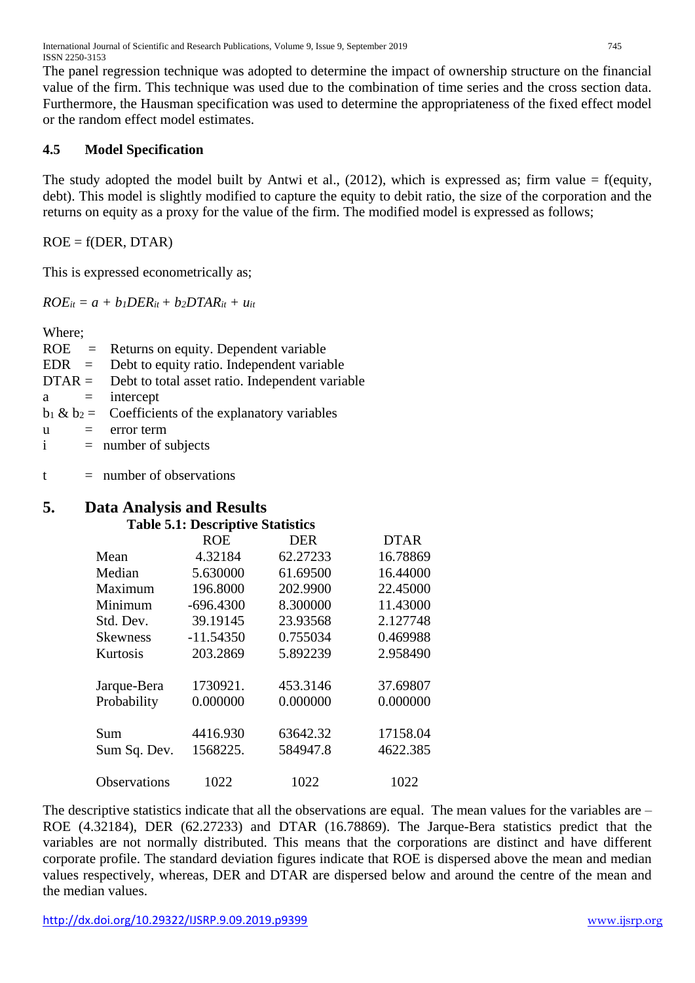The panel regression technique was adopted to determine the impact of ownership structure on the financial value of the firm. This technique was used due to the combination of time series and the cross section data. Furthermore, the Hausman specification was used to determine the appropriateness of the fixed effect model or the random effect model estimates.

#### **4.5 Model Specification**

The study adopted the model built by Antwi et al.,  $(2012)$ , which is expressed as; firm value = f(equity, debt). This model is slightly modified to capture the equity to debit ratio, the size of the corporation and the returns on equity as a proxy for the value of the firm. The modified model is expressed as follows;

 $ROE = f(DER, DTAR)$ 

This is expressed econometrically as;

 $ROE_{it} = a + b_I DER_{it} + b_2DTAR_{it} + u_{it}$ 

Where;

|              | $ROE =$ Returns on equity. Dependent variable            |
|--------------|----------------------------------------------------------|
|              | $EDR = Debt$ to equity ratio. Independent variable       |
|              | $DTAR =$ Debt to total asset ratio. Independent variable |
|              | $a =$ intercept                                          |
|              | $b_1 \& b_2 =$ Coefficients of the explanatory variables |
| u<br>$=$ $-$ | error term                                               |
| $\mathbf{i}$ | $=$ number of subjects                                   |
|              |                                                          |

 $t =$  number of observations

# **5. Data Analysis and Results**

#### **Table 5.1: Descriptive Statistics**

|                 | <b>ROE</b>  | <b>DER</b> | <b>DTAR</b> |
|-----------------|-------------|------------|-------------|
| Mean            | 4.32184     | 62.27233   | 16.78869    |
| Median          | 5.630000    | 61.69500   | 16.44000    |
| Maximum         | 196.8000    | 202.9900   | 22.45000    |
| Minimum         | $-696.4300$ | 8.300000   | 11.43000    |
| Std. Dev.       | 39.19145    | 23.93568   | 2.127748    |
| <b>Skewness</b> | $-11.54350$ | 0.755034   | 0.469988    |
| Kurtosis        | 203.2869    | 5.892239   | 2.958490    |
| Jarque-Bera     | 1730921.    | 453.3146   | 37.69807    |
| Probability     | 0.000000    | 0.000000   | 0.000000    |
| Sum             | 4416.930    | 63642.32   | 17158.04    |
| Sum Sq. Dev.    | 1568225.    | 584947.8   | 4622.385    |
| Observations    | 1022        | 1022       | 1022        |

The descriptive statistics indicate that all the observations are equal. The mean values for the variables are – ROE (4.32184), DER (62.27233) and DTAR (16.78869). The Jarque-Bera statistics predict that the variables are not normally distributed. This means that the corporations are distinct and have different corporate profile. The standard deviation figures indicate that ROE is dispersed above the mean and median values respectively, whereas, DER and DTAR are dispersed below and around the centre of the mean and the median values.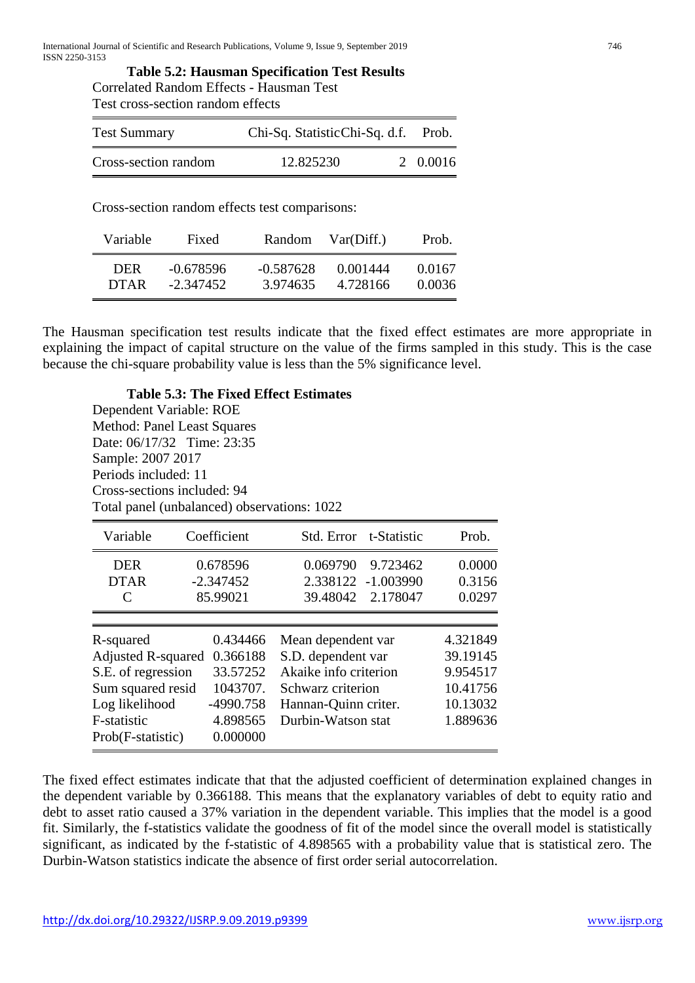**Table 5.2: Hausman Specification Test Results** Correlated Random Effects - Hausman Test Test cross-section random effects

| <b>Test Summary</b>  | Chi-Sq. StatisticChi-Sq. d.f. | Prob.    |
|----------------------|-------------------------------|----------|
| Cross-section random | 12.825230                     | 2 0.0016 |

Cross-section random effects test comparisons:

| Variable    | Fixed       | Random      | Var(Diff.) | Prob.  |
|-------------|-------------|-------------|------------|--------|
| DER         | $-0.678596$ | $-0.587628$ | 0.001444   | 0.0167 |
| <b>DTAR</b> | -2.347452   | 3.974635    | 4.728166   | 0.0036 |

The Hausman specification test results indicate that the fixed effect estimates are more appropriate in explaining the impact of capital structure on the value of the firms sampled in this study. This is the case because the chi-square probability value is less than the 5% significance level.

**Table 5.3: The Fixed Effect Estimates** Dependent Variable: ROE Method: Panel Least Squares Date: 06/17/32 Time: 23:35 Sample: 2007 2017 Periods included: 11 Cross-sections included: 94 Total panel (unbalanced) observations: 1022

| Variable                                                                                                                                | Coefficient                                                                       | Std. Error t-Statistic                                                                                                               | Prob.                                                                |
|-----------------------------------------------------------------------------------------------------------------------------------------|-----------------------------------------------------------------------------------|--------------------------------------------------------------------------------------------------------------------------------------|----------------------------------------------------------------------|
| <b>DER</b><br><b>DTAR</b><br>C                                                                                                          | 0.678596<br>$-2.347452$<br>85.99021                                               | 0.069790<br>9.723462<br>2.338122 -1.003990<br>39.48042 2.178047                                                                      | 0.0000<br>0.3156<br>0.0297                                           |
| R-squared<br><b>Adjusted R-squared</b><br>S.E. of regression<br>Sum squared resid<br>Log likelihood<br>F-statistic<br>Prob(F-statistic) | 0.434466<br>0.366188<br>33.57252<br>1043707.<br>-4990.758<br>4.898565<br>0.000000 | Mean dependent var<br>S.D. dependent var<br>Akaike info criterion<br>Schwarz criterion<br>Hannan-Quinn criter.<br>Durbin-Watson stat | 4.321849<br>39.19145<br>9.954517<br>10.41756<br>10.13032<br>1.889636 |

The fixed effect estimates indicate that that the adjusted coefficient of determination explained changes in the dependent variable by 0.366188. This means that the explanatory variables of debt to equity ratio and debt to asset ratio caused a 37% variation in the dependent variable. This implies that the model is a good fit. Similarly, the f-statistics validate the goodness of fit of the model since the overall model is statistically significant, as indicated by the f-statistic of 4.898565 with a probability value that is statistical zero. The Durbin-Watson statistics indicate the absence of first order serial autocorrelation.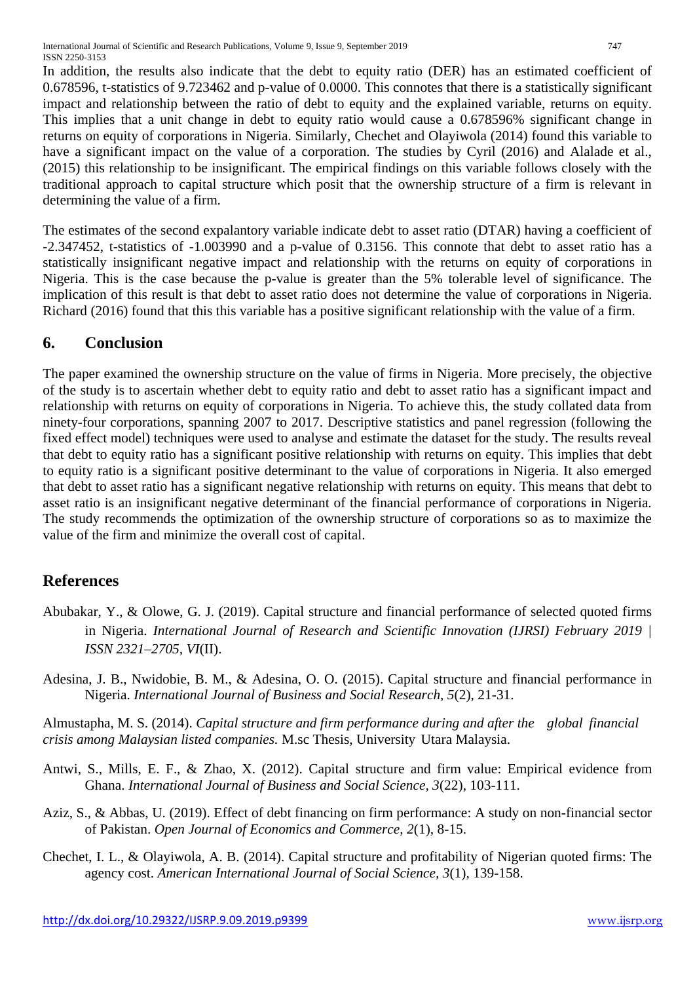In addition, the results also indicate that the debt to equity ratio (DER) has an estimated coefficient of 0.678596, t-statistics of 9.723462 and p-value of 0.0000. This connotes that there is a statistically significant impact and relationship between the ratio of debt to equity and the explained variable, returns on equity. This implies that a unit change in debt to equity ratio would cause a 0.678596% significant change in returns on equity of corporations in Nigeria. Similarly, Chechet and Olayiwola (2014) found this variable to have a significant impact on the value of a corporation. The studies by Cyril (2016) and Alalade et al., (2015) this relationship to be insignificant. The empirical findings on this variable follows closely with the traditional approach to capital structure which posit that the ownership structure of a firm is relevant in determining the value of a firm.

The estimates of the second expalantory variable indicate debt to asset ratio (DTAR) having a coefficient of -2.347452, t-statistics of -1.003990 and a p-value of 0.3156. This connote that debt to asset ratio has a statistically insignificant negative impact and relationship with the returns on equity of corporations in Nigeria. This is the case because the p-value is greater than the 5% tolerable level of significance. The implication of this result is that debt to asset ratio does not determine the value of corporations in Nigeria. Richard (2016) found that this this variable has a positive significant relationship with the value of a firm.

## **6. Conclusion**

The paper examined the ownership structure on the value of firms in Nigeria. More precisely, the objective of the study is to ascertain whether debt to equity ratio and debt to asset ratio has a significant impact and relationship with returns on equity of corporations in Nigeria. To achieve this, the study collated data from ninety-four corporations, spanning 2007 to 2017. Descriptive statistics and panel regression (following the fixed effect model) techniques were used to analyse and estimate the dataset for the study. The results reveal that debt to equity ratio has a significant positive relationship with returns on equity. This implies that debt to equity ratio is a significant positive determinant to the value of corporations in Nigeria. It also emerged that debt to asset ratio has a significant negative relationship with returns on equity. This means that debt to asset ratio is an insignificant negative determinant of the financial performance of corporations in Nigeria. The study recommends the optimization of the ownership structure of corporations so as to maximize the value of the firm and minimize the overall cost of capital.

## **References**

- Abubakar, Y., & Olowe, G. J. (2019). Capital structure and financial performance of selected quoted firms in Nigeria. *International Journal of Research and Scientific Innovation (IJRSI) February 2019 | ISSN 2321–2705, VI*(II).
- Adesina, J. B., Nwidobie, B. M., & Adesina, O. O. (2015). Capital structure and financial performance in Nigeria. *International Journal of Business and Social Research, 5*(2), 21-31.

Almustapha, M. S. (2014). *Capital structure and firm performance during and after the global financial crisis among Malaysian listed companies.* M.sc Thesis, University Utara Malaysia.

- Antwi, S., Mills, E. F., & Zhao, X. (2012). Capital structure and firm value: Empirical evidence from Ghana. *International Journal of Business and Social Science, 3*(22), 103-111.
- Aziz, S., & Abbas, U. (2019). Effect of debt financing on firm performance: A study on non-financial sector of Pakistan. *Open Journal of Economics and Commerce, 2*(1), 8-15.
- Chechet, I. L., & Olayiwola, A. B. (2014). Capital structure and profitability of Nigerian quoted firms: The agency cost. *American International Journal of Social Science, 3*(1), 139-158.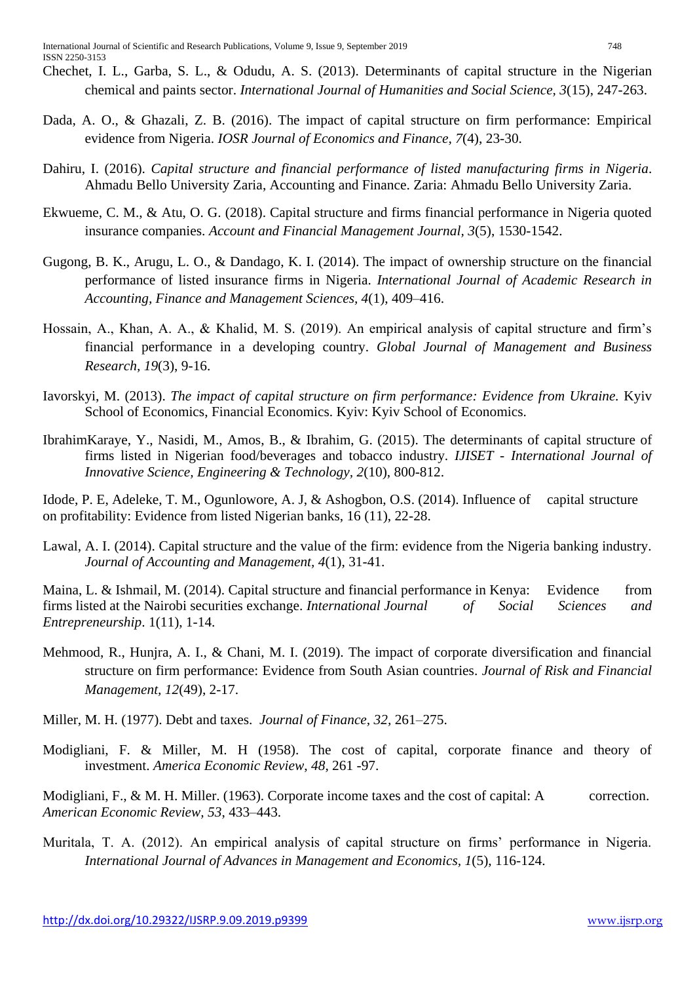- Chechet, I. L., Garba, S. L., & Odudu, A. S. (2013). Determinants of capital structure in the Nigerian chemical and paints sector. *International Journal of Humanities and Social Science, 3*(15), 247-263.
- Dada, A. O., & Ghazali, Z. B. (2016). The impact of capital structure on firm performance: Empirical evidence from Nigeria. *IOSR Journal of Economics and Finance, 7*(4), 23-30.
- Dahiru, I. (2016). *Capital structure and financial performance of listed manufacturing firms in Nigeria*. Ahmadu Bello University Zaria, Accounting and Finance. Zaria: Ahmadu Bello University Zaria.
- Ekwueme, C. M., & Atu, O. G. (2018). Capital structure and firms financial performance in Nigeria quoted insurance companies. *Account and Financial Management Journal, 3*(5), 1530-1542.
- Gugong, B. K., Arugu, L. O., & Dandago, K. I. (2014). The impact of ownership structure on the financial performance of listed insurance firms in Nigeria. *International Journal of Academic Research in Accounting, Finance and Management Sciences, 4*(1), 409–416.
- Hossain, A., Khan, A. A., & Khalid, M. S. (2019). An empirical analysis of capital structure and firm's financial performance in a developing country. *Global Journal of Management and Business Research, 19*(3), 9-16.
- Iavorskyi, M. (2013). *The impact of capital structure on firm performance: Evidence from Ukraine.* Kyiv School of Economics, Financial Economics. Kyiv: Kyiv School of Economics.
- IbrahimKaraye, Y., Nasidi, M., Amos, B., & Ibrahim, G. (2015). The determinants of capital structure of firms listed in Nigerian food/beverages and tobacco industry. *IJISET - International Journal of Innovative Science, Engineering & Technology, 2*(10), 800-812.

Idode, P. E, Adeleke, T. M., Ogunlowore, A. J, & Ashogbon, O.S. (2014). Influence of capital structure on profitability: Evidence from listed Nigerian banks, 16 (11), 22-28.

Lawal, A. I. (2014). Capital structure and the value of the firm: evidence from the Nigeria banking industry. *Journal of Accounting and Management, 4*(1), 31-41.

Maina, L. & Ishmail, M. (2014). Capital structure and financial performance in Kenya: Evidence from firms listed at the Nairobi securities exchange. *International Journal of Social Sciences and Entrepreneurship*. 1(11), 1-14.

- Mehmood, R., Hunjra, A. I., & Chani, M. I. (2019). The impact of corporate diversification and financial structure on firm performance: Evidence from South Asian countries. *Journal of Risk and Financial Management, 12*(49), 2-17.
- Miller, M. H. (1977). Debt and taxes. *Journal of Finance, 32,* 261–275.
- Modigliani, F. & Miller, M. H (1958). The cost of capital, corporate finance and theory of investment. *America Economic Review*, *48*, 261 -97.

Modigliani, F., & M. H. Miller. (1963). Corporate income taxes and the cost of capital: A correction. *American Economic Review, 53*, 433–443.

Muritala, T. A. (2012). An empirical analysis of capital structure on firms' performance in Nigeria. *International Journal of Advances in Management and Economics, 1*(5), 116-124.